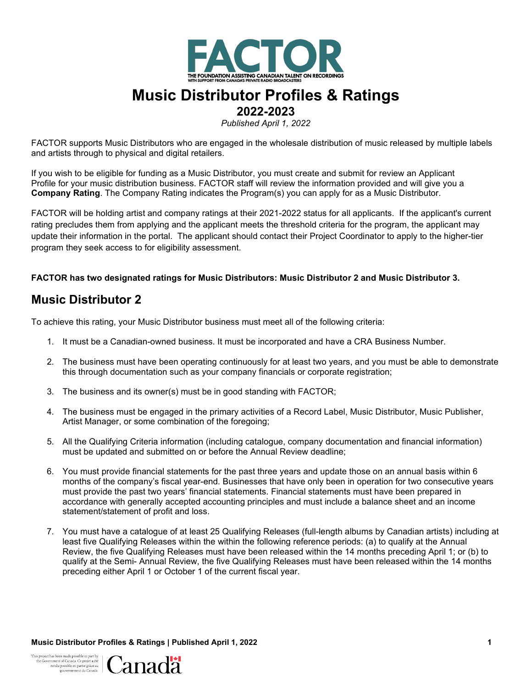

# **Music Distributor Profiles & Ratings**

**2022-2023**

*Published April 1, 2022*

FACTOR supports Music Distributors who are engaged in the wholesale distribution of music released by multiple labels and artists through to physical and digital retailers.

If you wish to be eligible for funding as a Music Distributor, you must create and submit for review an Applicant Profile for your music distribution business. FACTOR staff will review the information provided and will give you a **Company Rating**. The Company Rating indicates the Program(s) you can apply for as a Music Distributor.

FACTOR will be holding artist and company ratings at their 2021-2022 status for all applicants. If the applicant's current rating precludes them from applying and the applicant meets the threshold criteria for the program, the applicant may update their information in the portal. The applicant should contact their Project Coordinator to apply to the higher-tier program they seek access to for eligibility assessment.

#### **FACTOR has two designated ratings for Music Distributors: Music Distributor 2 and Music Distributor 3.**

### **Music Distributor 2**

To achieve this rating, your Music Distributor business must meet all of the following criteria:

- 1. It must be a Canadian-owned business. It must be incorporated and have a CRA Business Number.
- 2. The business must have been operating continuously for at least two years, and you must be able to demonstrate this through documentation such as your company financials or corporate registration;
- 3. The business and its owner(s) must be in good standing with FACTOR;
- 4. The business must be engaged in the primary activities of a Record Label, Music Distributor, Music Publisher, Artist Manager, or some combination of the foregoing;
- 5. All the Qualifying Criteria information (including catalogue, company documentation and financial information) must be updated and submitted on or before the Annual Review deadline;
- 6. You must provide financial statements for the past three years and update those on an annual basis within 6 months of the company's fiscal year-end. Businesses that have only been in operation for two consecutive years must provide the past two years' financial statements. Financial statements must have been prepared in accordance with generally accepted accounting principles and must include a balance sheet and an income statement/statement of profit and loss.
- 7. You must have a catalogue of at least 25 Qualifying Releases (full-length albums by Canadian artists) including at least five Qualifying Releases within the within the following reference periods: (a) to qualify at the Annual Review, the five Qualifying Releases must have been released within the 14 months preceding April 1; or (b) to qualify at the Semi- Annual Review, the five Qualifying Releases must have been released within the 14 months preceding either April 1 or October 1 of the current fiscal year.

**Music Distributor Profiles & Ratings | Published April 1, 2022 1**